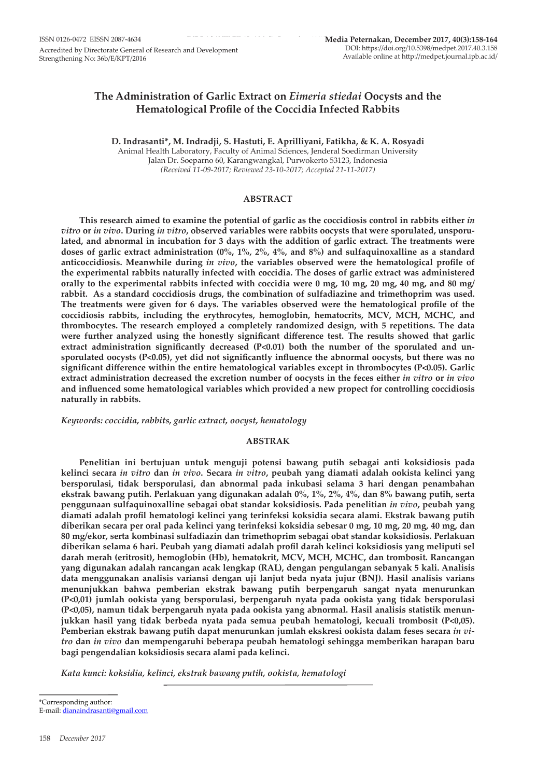# **The Administration of Garlic Extract on** *Eimeria stiedai* **Oocysts and the Hematological Profile of the Coccidia Infected Rabbits**

**D. Indrasanti\*, M. Indradji, S. Hastuti, E. Aprilliyani, Fatikha, & K. A. Rosyadi** Animal Health Laboratory, Faculty of Animal Sciences, Jenderal Soedirman University Jalan Dr. Soeparno 60, Karangwangkal, Purwokerto 53123, Indonesia

*(Received 11-09-2017; Reviewed 23-10-2017; Accepted 21-11-2017)*

### **ABSTRACT**

**This research aimed to examine the potential of garlic as the coccidiosis control in rabbits either** *in vitro* **or** *in vivo***. During** *in vitro***, observed variables were rabbits oocysts that were sporulated, unsporulated, and abnormal in incubation for 3 days with the addition of garlic extract. The treatments were doses of garlic extract administration (0%, 1%, 2%, 4%, and 8%) and sulfaquinoxalline as a standard anticoccidiosis. Meanwhile during** *in vivo***, the variables observed were the hematological profile of the experimental rabbits naturally infected with coccidia. The doses of garlic extract was administered orally to the experimental rabbits infected with coccidia were 0 mg, 10 mg, 20 mg, 40 mg, and 80 mg/ rabbit. As a standard coccidiosis drugs, the combination of sulfadiazine and trimethoprim was used. The treatments were given for 6 days. The variables observed were the hematological profile of the coccidiosis rabbits, including the erythrocytes, hemoglobin, hematocrits, MCV, MCH, MCHC, and thrombocytes. The research employed a completely randomized design, with 5 repetitions. The data were further analyzed using the honestly significant difference test. The results showed that garlic extract administration significantly decreased (P<0.01) both the number of the sporulated and unsporulated oocysts (P<0.05), yet did not significantly influence the abnormal oocysts, but there was no significant difference within the entire hematological variables except in thrombocytes (P<0.05). Garlic extract administration decreased the excretion number of oocysts in the feces either** *in vitro* **or** *in vivo* **and influenced some hematological variables which provided a new propect for controlling coccidiosis naturally in rabbits.**

*Keywords: coccidia, rabbits, garlic extract, oocyst, hematology*

## **ABSTRAK**

**Penelitian ini bertujuan untuk menguji potensi bawang putih sebagai anti koksidiosis pada kelinci secara** *in vitro* **dan** *in vivo***. Secara** *in vitro***, peubah yang diamati adalah ookista kelinci yang bersporulasi, tidak bersporulasi, dan abnormal pada inkubasi selama 3 hari dengan penambahan ekstrak bawang putih. Perlakuan yang digunakan adalah 0%, 1%, 2%, 4%, dan 8% bawang putih, serta penggunaan sulfaquinoxalline sebagai obat standar koksidiosis. Pada penelitian** *in vivo***, peubah yang diamati adalah profil hematologi kelinci yang terinfeksi koksidia secara alami. Ekstrak bawang putih diberikan secara per oral pada kelinci yang terinfeksi koksidia sebesar 0 mg, 10 mg, 20 mg, 40 mg, dan 80 mg/ekor, serta kombinasi sulfadiazin dan trimethoprim sebagai obat standar koksidiosis. Perlakuan diberikan selama 6 hari. Peubah yang diamati adalah profil darah kelinci koksidiosis yang meliputi sel darah merah (eritrosit), hemoglobin (Hb), hematokrit, MCV, MCH, MCHC, dan trombosit. Rancangan yang digunakan adalah rancangan acak lengkap (RAL), dengan pengulangan sebanyak 5 kali. Analisis data menggunakan analisis variansi dengan uji lanjut beda nyata jujur (BNJ). Hasil analisis varians menunjukkan bahwa pemberian ekstrak bawang putih berpengaruh sangat nyata menurunkan (P<0,01) jumlah ookista yang bersporulasi, berpengaruh nyata pada ookista yang tidak bersporulasi (P<0,05), namun tidak berpengaruh nyata pada ookista yang abnormal. Hasil analisis statistik menunjukkan hasil yang tidak berbeda nyata pada semua peubah hematologi, kecuali trombosit (P<0,05). Pemberian ekstrak bawang putih dapat menurunkan jumlah ekskresi ookista dalam feses secara** *in vitro* **dan** *in vivo* **dan mempengaruhi beberapa peubah hematologi sehingga memberikan harapan baru bagi pengendalian koksidiosis secara alami pada kelinci.**

*Kata kunci: koksidia, kelinci, ekstrak bawang putih, ookista, hematologi*

\*Corresponding author: E-mail: dianaindrasanti@gmail.com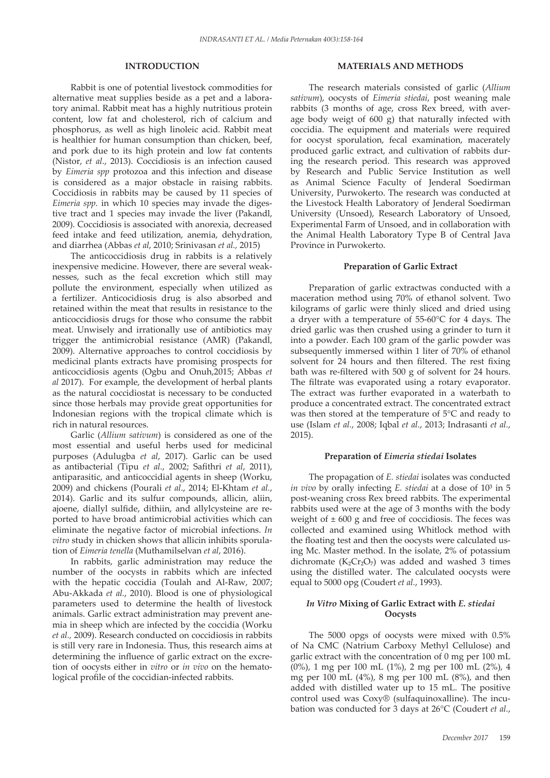## **INTRODUCTION**

Rabbit is one of potential livestock commodities for alternative meat supplies beside as a pet and a laboratory animal. Rabbit meat has a highly nutritious protein content, low fat and cholesterol, rich of calcium and phosphorus, as well as high linoleic acid. Rabbit meat is healthier for human consumption than chicken, beef, and pork due to its high protein and low fat contents (Nistor, *et al*., 2013). Coccidiosis is an infection caused by *Eimeria spp* protozoa and this infection and disease is considered as a major obstacle in raising rabbits. Coccidiosis in rabbits may be caused by 11 species of *Eimeria spp.* in which 10 species may invade the digestive tract and 1 species may invade the liver (Pakandl, 2009). Coccidiosis is associated with anorexia, decreased feed intake and feed utilization, anemia, dehydration, and diarrhea (Abbas *et al*, 2010; Srinivasan *et al.,* 2015)

The anticoccidiosis drug in rabbits is a relatively inexpensive medicine. However, there are several weaknesses, such as the fecal excretion which still may pollute the environment, especially when utilized as a fertilizer. Anticocidiosis drug is also absorbed and retained within the meat that results in resistance to the anticoccidiosis drugs for those who consume the rabbit meat. Unwisely and irrationally use of antibiotics may trigger the antimicrobial resistance (AMR) (Pakandl, 2009). Alternative approaches to control coccidiosis by medicinal plants extracts have promising prospects for anticoccidiosis agents (Ogbu and Onuh,2015; Abbas *et al* 2017). For example, the development of herbal plants as the natural coccidiostat is necessary to be conducted since those herbals may provide great opportunities for Indonesian regions with the tropical climate which is rich in natural resources.

Garlic (*Allium sativum*) is considered as one of the most essential and useful herbs used for medicinal purposes (Adulugba *et al*, 2017). Garlic can be used as antibacterial (Tipu *et al.*, 2002; Safithri *et al*, 2011), antiparasitic, and anticoccidial agents in sheep (Worku, 2009) and chickens (Pourali *et al*., 2014; El-Khtam *et al.*, 2014). Garlic and its sulfur compounds, allicin, aliin, ajoene, diallyl sulfide, dithiin, and allylcysteine are reported to have broad antimicrobial activities which can eliminate the negative factor of microbial infections. *In vitro* study in chicken shows that allicin inhibits sporulation of *Eimeria tenella* (Muthamilselvan *et al*, 2016).

In rabbits, garlic administration may reduce the number of the oocysts in rabbits which are infected with the hepatic coccidia (Toulah and Al-Raw, 2007; Abu-Akkada *et al.*, 2010). Blood is one of physiological parameters used to determine the health of livestock animals. Garlic extract administration may prevent anemia in sheep which are infected by the coccidia (Worku *et al.,* 2009). Research conducted on coccidiosis in rabbits is still very rare in Indonesia. Thus, this research aims at determining the influence of garlic extract on the excretion of oocysts either in *vitro* or *in vivo* on the hematological profile of the coccidian-infected rabbits.

## **MATERIALS AND METHODS**

The research materials consisted of garlic (*Allium sativum*), oocysts of *Eimeria stiedai*, post weaning male rabbits (3 months of age, cross Rex breed, with average body weigt of 600 g) that naturally infected with coccidia. The equipment and materials were required for oocyst sporulation, fecal examination, macerately produced garlic extract, and cultivation of rabbits during the research period. This research was approved by Research and Public Service Institution as well as Animal Science Faculty of Jenderal Soedirman University, Purwokerto. The research was conducted at the Livestock Health Laboratory of Jenderal Soedirman University (Unsoed), Research Laboratory of Unsoed, Experimental Farm of Unsoed, and in collaboration with the Animal Health Laboratory Type B of Central Java Province in Purwokerto.

#### **Preparation of Garlic Extract**

Preparation of garlic extractwas conducted with a maceration method using 70% of ethanol solvent. Two kilograms of garlic were thinly sliced and dried using a dryer with a temperature of 55-60°C for 4 days. The dried garlic was then crushed using a grinder to turn it into a powder. Each 100 gram of the garlic powder was subsequently immersed within 1 liter of 70% of ethanol solvent for 24 hours and then filtered. The rest fixing bath was re-filtered with 500 g of solvent for 24 hours. The filtrate was evaporated using a rotary evaporator. The extract was further evaporated in a waterbath to produce a concentrated extract. The concentrated extract was then stored at the temperature of 5°C and ready to use (Islam *et al.*, 2008; Iqbal *et al.*, 2013; Indrasanti *et al.*, 2015).

#### **Preparation of** *Eimeria stiedai* **Isolates**

The propagation of *E. stiedai* isolates was conducted *in vivo* by orally infecting *E. stiedai* at a dose of 10<sup>3</sup> in 5 post-weaning cross Rex breed rabbits. The experimental rabbits used were at the age of 3 months with the body weight of  $\pm 600$  g and free of coccidiosis. The feces was collected and examined using Whitlock method with the floating test and then the oocysts were calculated using Mc. Master method. In the isolate, 2% of potassium dichromate ( $K_2Cr_2O_7$ ) was added and washed 3 times using the distilled water. The calculated oocysts were equal to 5000 opg (Coudert *et al.*, 1993).

## *In Vitro* **Mixing of Garlic Extract with** *E. stiedai*  **Oocysts**

The 5000 opgs of oocysts were mixed with 0.5% of Na CMC (Natrium Carboxy Methyl Cellulose) and garlic extract with the concentration of 0 mg per 100 mL (0%), 1 mg per 100 mL (1%), 2 mg per 100 mL (2%), 4 mg per 100 mL (4%), 8 mg per 100 mL (8%), and then added with distilled water up to 15 mL. The positive control used was Coxy® (sulfaquinoxalline). The incubation was conducted for 3 days at 26°C (Coudert *et al.*,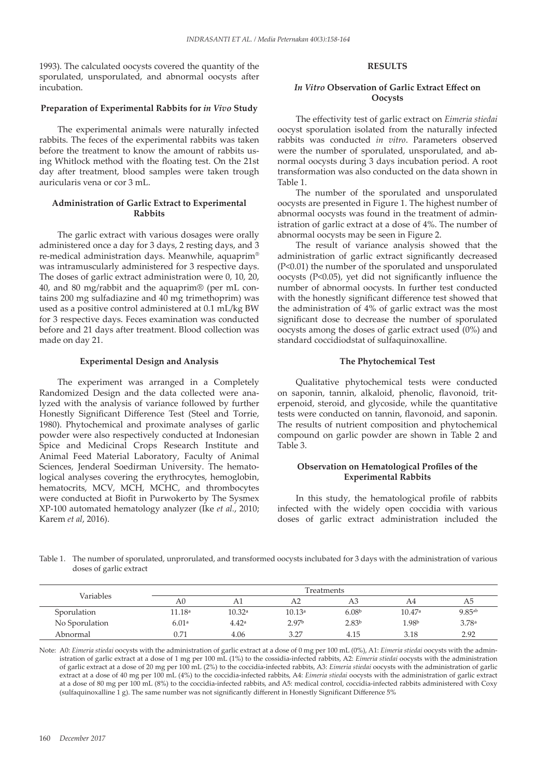1993). The calculated oocysts covered the quantity of the sporulated, unsporulated, and abnormal oocysts after incubation.

#### **Preparation of Experimental Rabbits for** *in Vivo* **Study**

The experimental animals were naturally infected rabbits. The feces of the experimental rabbits was taken before the treatment to know the amount of rabbits using Whitlock method with the floating test. On the 21st day after treatment, blood samples were taken trough auricularis vena or cor 3 mL.

## **Administration of Garlic Extract to Experimental Rabbits**

The garlic extract with various dosages were orally administered once a day for 3 days, 2 resting days, and 3 re-medical administration days. Meanwhile, aquaprim® was intramuscularly administered for 3 respective days. The doses of garlic extract administration were 0, 10, 20, 40, and 80 mg/rabbit and the aquaprim® (per mL contains 200 mg sulfadiazine and 40 mg trimethoprim) was used as a positive control administered at 0.1 mL/kg BW for 3 respective days. Feces examination was conducted before and 21 days after treatment. Blood collection was made on day 21.

#### **Experimental Design and Analysis**

The experiment was arranged in a Completely Randomized Design and the data collected were analyzed with the analysis of variance followed by further Honestly Significant Difference Test (Steel and Torrie, 1980). Phytochemical and proximate analyses of garlic powder were also respectively conducted at Indonesian Spice and Medicinal Crops Research Institute and Animal Feed Material Laboratory, Faculty of Animal Sciences, Jenderal Soedirman University. The hematological analyses covering the erythrocytes, hemoglobin, hematocrits, MCV, MCH, MCHC, and thrombocytes were conducted at Biofit in Purwokerto by The Sysmex XP-100 automated hematology analyzer (Ike *et al.*, 2010; Karem *et al*, 2016).

# **RESULTS**

# *In Vitro* **Observation of Garlic Extract Effect on Oocysts**

The effectivity test of garlic extract on *Eimeria stiedai*  oocyst sporulation isolated from the naturally infected rabbits was conducted *in vitro*. Parameters observed were the number of sporulated, unsporulated, and abnormal oocysts during 3 days incubation period. A root transformation was also conducted on the data shown in Table 1.

The number of the sporulated and unsporulated oocysts are presented in Figure 1. The highest number of abnormal oocysts was found in the treatment of administration of garlic extract at a dose of 4%. The number of abnormal oocysts may be seen in Figure 2.

The result of variance analysis showed that the administration of garlic extract significantly decreased (P<0.01) the number of the sporulated and unsporulated oocysts (P<0.05), yet did not significantly influence the number of abnormal oocysts. In further test conducted with the honestly significant difference test showed that the administration of 4% of garlic extract was the most significant dose to decrease the number of sporulated oocysts among the doses of garlic extract used (0%) and standard coccidiodstat of sulfaquinoxalline.

# **The Phytochemical Test**

Qualitative phytochemical tests were conducted on saponin, tannin, alkaloid, phenolic, flavonoid, triterpenoid, steroid, and glycoside, while the quantitative tests were conducted on tannin, flavonoid, and saponin. The results of nutrient composition and phytochemical compound on garlic powder are shown in Table 2 and Table 3.

#### **Observation on Hematological Profiles of the Experimental Rabbits**

In this study, the hematological profile of rabbits infected with the widely open coccidia with various doses of garlic extract administration included the

Table 1. The number of sporulated, unprorulated, and transformed oocysts inclubated for 3 days with the administration of various doses of garlic extract

| <b>Variables</b> | Treatments |        |                   |                   |                   |             |  |
|------------------|------------|--------|-------------------|-------------------|-------------------|-------------|--|
|                  | A0         | A1     | A <sub>2</sub>    | A3.               | A4                | А5          |  |
| Sporulation      | 11.18ª     | 10.32a | 10.13a            | 6.08 <sup>b</sup> | 10.47a            | $9.85^{ab}$ |  |
| No Sporulation   | 6.01a      | 4.42a  | 2.97 <sup>b</sup> | 2.83 <sup>b</sup> | 1.98 <sup>b</sup> | 3.78a       |  |
| Abnormal         | 0.71       | 4.06   | 3.27              | 4.15              | 3.18              | 2.92        |  |

Note: A0: *Eimeria stiedai* oocysts with the administration of garlic extract at a dose of 0 mg per 100 mL (0%), A1: *Eimeria stiedai* oocysts with the administration of garlic extract at a dose of 1 mg per 100 mL (1%) to the cossidia-infected rabbits, A2: *Eimeria stiedai* oocysts with the administration of garlic extract at a dose of 20 mg per 100 mL (2%) to the coccidia-infected rabbits, A3: *Eimeria stiedai* oocysts with the administration of garlic extract at a dose of 40 mg per 100 mL (4%) to the coccidia-infected rabbits, A4: *Eimeria stiedai* oocysts with the administration of garlic extract at a dose of 80 mg per 100 mL (8%) to the coccidia-infected rabbits, and A5: medical control, coccidia-infected rabbits administered with Coxy (sulfaquinoxalline 1 g). The same number was not significantly different in Honestly Significant Difference 5%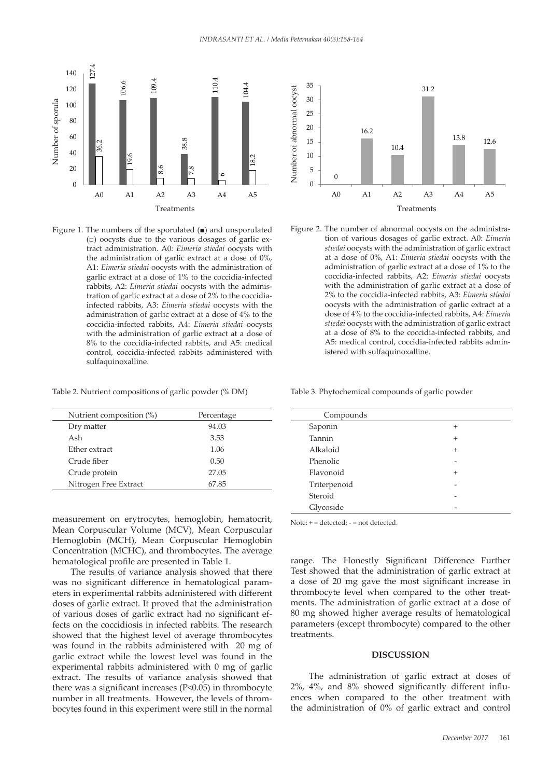

Figure 1. The numbers of the sporulated  $($ ■) and unsporulated tract administration. A0: *Eimeria stiedai* oocysts with A1: *Eimeria stiedai* oocysts with the administration of rabbits, A2: *Eimeria stiedai* oocysts with the adminisinfected rabbits, A3: *Eimeria stiedai* oocysts with the 424 the administration of garlic extract 4% to the coccidiosis infected rabbits. A4: *Eimeria*  coccidia-infected rabbits, A4: *Eimeria stiedai* oocysts with the administration of garlic extract at a dose of  $\frac{90}{\sqrt{1-\frac{1}{2}}}\times\frac{1}{\sqrt{1-\frac{1}{2}}}$ control, coccidia-infected rabbits administered with (□) oocysts due to the various dosages of garlic exthe administration of garlic extract at a dose of 0%, garlic extract at a dose of 1% to the coccidia-infected tration of garlic extract at a dose of 2% to the coccidiaadministration of garlic extract at a dose of 4% to the 8% to the coccidia-infected rabbits, and A5: medical sulfaquinoxalline.

Table 2. Nutrient compositions of garlic powder (% DM)

| Nutrient composition (%) | Percentage |  |
|--------------------------|------------|--|
| Dry matter               | 94.03      |  |
| Ash                      | 3.53       |  |
| Ether extract            | 1.06       |  |
| Crude fiber              | 0.50       |  |
| Crude protein            | 27.05      |  |
| Nitrogen Free Extract    | 67.85      |  |

measurement on erytrocytes, hemoglobin, hematocrit, Mean Corpuscular Volume (MCV), Mean Corpuscular Hemoglobin (MCH), Mean Corpuscular Hemoglobin Concentration (MCHC), and thrombocytes. The average hematological profile are presented in Table 1.

The results of variance analysis showed that there was no significant difference in hematological parameters in experimental rabbits administered with different doses of garlic extract. It proved that the administration of various doses of garlic extract had no significant effects on the coccidiosis in infected rabbits. The research showed that the highest level of average thrombocytes was found in the rabbits administered with 20 mg of garlic extract while the lowest level was found in the experimental rabbits administered with 0 mg of garlic extract. The results of variance analysis showed that there was a significant increases (P<0.05) in thrombocyte number in all treatments. However, the levels of thrombocytes found in this experiment were still in the normal



Figure 2. The number of abnormal oocysts on the administration of various dosages of garlic extract. A0: *Eimeria* <sup>43</sup> *stiedai* oocysts with the administration of garlic extract at a dose of 0%, A1: *Eimeria stiedai* oocysts with the 432 Description: A0: *Eimeria stiedai* oocysts with the administration of garlic extract 0%, administration of garlic extract at a dose of 1% to the coccidia-infected rabbits, A2: *Eimeria stiedai* oocysts with the administration of garlic extract at a dose of 2% to the coccidia-infected rabbits, A3: *Eimeria stiedai* oocysts with the administration of garlic extract at a dose of 4% to the coccidia-infected rabbits, A4: *Eimeria stiedai* oocysts with the administration of garlic extract at a dose of 8% to the coccidia-infected rabbits, and A5: medical control, coccidia-infected rabbits administered with sulfaquinoxalline.  $\frac{1}{2}$ 

Table 3. Phytochemical compounds of garlic powder

| Compounds    |        |
|--------------|--------|
| Saponin      | $^{+}$ |
| Tannin       | $^{+}$ |
| Alkaloid     | $^{+}$ |
| Phenolic     |        |
| Flavonoid    | $^{+}$ |
| Triterpenoid |        |
| Steroid      |        |
| Glycoside    |        |

Note: + = detected; - = not detected.

range. The Honestly Significant Difference Further Test showed that the administration of garlic extract at a dose of 20 mg gave the most significant increase in thrombocyte level when compared to the other treatments. The administration of garlic extract at a dose of 80 mg showed higher average results of hematological parameters (except thrombocyte) compared to the other treatments.

#### **DISCUSSION**

The administration of garlic extract at doses of 2%, 4%, and 8% showed significantly different influences when compared to the other treatment with the administration of 0% of garlic extract and control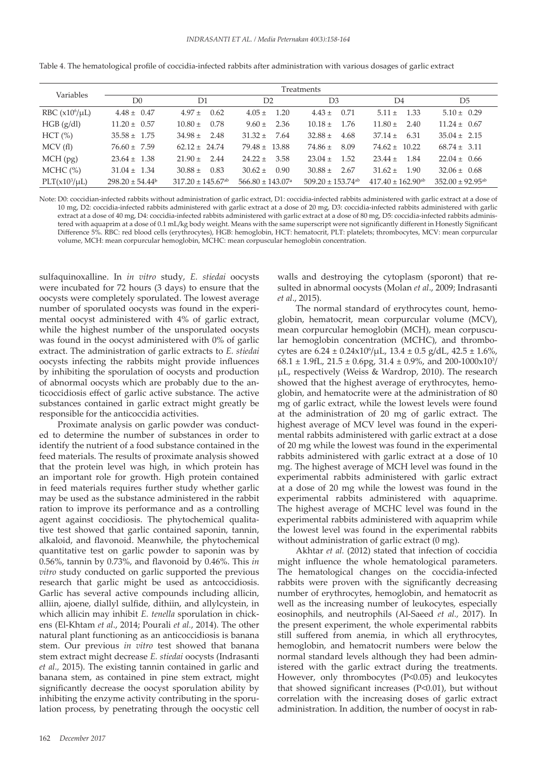| Variables          | Treatments                      |                                   |                                  |                                   |                                   |                                  |  |  |
|--------------------|---------------------------------|-----------------------------------|----------------------------------|-----------------------------------|-----------------------------------|----------------------------------|--|--|
|                    | D0                              | D1                                | D2                               | D <sub>3</sub>                    | D4                                | D <sub>5</sub>                   |  |  |
| RBC $(x106/\mu L)$ | $4.48 \pm 0.47$                 | $4.97 \pm 0.62$                   | 1.20<br>$4.05 \pm$               | $4.43 \pm$<br>0.71                | $5.11 \pm 1.33$                   | $5.10 \pm 0.29$                  |  |  |
| HGB (g/dl)         | $11.20 \pm 0.57$                | 0.78<br>$10.80 \pm$               | 2.36<br>$9.60 \pm$               | $10.18 \pm$<br>1.76               | $11.80 \pm 2.40$                  | $11.24 \pm 0.67$                 |  |  |
| HCT (%)            | $35.58 \pm 1.75$                | $34.98 \pm 2.48$                  | $31.32 \pm$<br>7.64              | $32.88 \pm$<br>4.68               | $37.14 \pm 6.31$                  | $35.04 \pm 2.15$                 |  |  |
| MCV(f)             | $76.60 \pm 7.59$                | $62.12 \pm 24.74$                 | $79.48 \pm 13.88$                | 8.09<br>$74.86 \pm$               | $74.62 \pm 10.22$                 | $68.74 \pm 3.11$                 |  |  |
| MCH(pg)            | $23.64 \pm 1.38$                | $21.90 \pm 2.44$                  | 3.58<br>$24.22 \pm$              | 1.52<br>$23.04 \pm$               | $23.44 \pm 1.84$                  | $22.04 \pm 0.66$                 |  |  |
| MCHC (%)           | $31.04 \pm 1.34$                | $30.88 \pm 0.83$                  | $30.62 \pm$<br>0.90              | $30.88 \pm$<br>2.67               | $31.62 \pm 1.90$                  | $32.06 \pm 0.68$                 |  |  |
| $PLT(x10^3/\mu L)$ | $298.20 \pm 54.44$ <sup>b</sup> | $317.20 \pm 145.67$ <sup>ab</sup> | $566.80 \pm 143.07$ <sup>a</sup> | $509.20 \pm 153.74$ <sup>ab</sup> | $417.40 \pm 162.90$ <sup>ab</sup> | $352.00 \pm 92.95$ <sup>ab</sup> |  |  |

Table 4. The hematological profile of coccidia-infected rabbits after administration with various dosages of garlic extract

Note: D0: coccidian-infected rabbits without administration of garlic extract, D1: coccidia-infected rabbits administered with garlic extract at a dose of 10 mg, D2: coccidia-infected rabbits administered with garlic extract at a dose of 20 mg, D3: coccidia-infected rabbits administered with garlic extract at a dose of 40 mg, D4: coccidia-infected rabbits administered with garlic extract at a dose of 80 mg, D5: coccidia-infected rabbits administered with aquaprim at a dose of 0.1 mL/kg body weight. Means with the same superscript were not significantly different in Honestly Significant Difference 5%. RBC: red blood cells (erythrocytes), HGB: hemoglobin, HCT: hematocrit, PLT: platelets; thrombocytes, MCV: mean corpurcular volume, MCH: mean corpurcular hemoglobin, MCHC: mean corpuscular hemoglobin concentration.

sulfaquinoxalline. In *in vitro* study, *E. stiedai* oocysts were incubated for 72 hours (3 days) to ensure that the oocysts were completely sporulated. The lowest average number of sporulated oocysts was found in the experimental oocyst administered with 4% of garlic extract, while the highest number of the unsporulated oocysts was found in the oocyst administered with 0% of garlic extract. The administration of garlic extracts to *E. stiedai*  oocysts infecting the rabbits might provide influences by inhibiting the sporulation of oocysts and production of abnormal oocysts which are probably due to the anticoccidiosis effect of garlic active substance. The active substances contained in garlic extract might greatly be responsible for the anticoccidia activities.

Proximate analysis on garlic powder was conducted to determine the number of substances in order to identify the nutrient of a food substance contained in the feed materials. The results of proximate analysis showed that the protein level was high, in which protein has an important role for growth. High protein contained in feed materials requires further study whether garlic may be used as the substance administered in the rabbit ration to improve its performance and as a controlling agent against coccidiosis. The phytochemical qualitative test showed that garlic contained saponin, tannin, alkaloid, and flavonoid. Meanwhile, the phytochemical quantitative test on garlic powder to saponin was by 0.56%, tannin by 0.73%, and flavonoid by 0.46%. This *in vitro* study conducted on garlic supported the previous research that garlic might be used as antcoccidiosis. Garlic has several active compounds including allicin, alliin, ajoene, diallyl sulfide, dithiin, and allylcystein, in which allicin may inhibit *E. tenella* sporulation in chickens (El-Khtam *et al*., 2014; Pourali *et al.*, 2014). The other natural plant functioning as an anticoccidiosis is banana stem. Our previous *in vitro* test showed that banana stem extract might decrease *E. stiedai* oocysts (Indrasanti *et al.,* 2015). The existing tannin contained in garlic and banana stem, as contained in pine stem extract, might significantly decrease the oocyst sporulation ability by inhibiting the enzyme activity contributing in the sporulation process, by penetrating through the oocystic cell

walls and destroying the cytoplasm (sporont) that resulted in abnormal oocysts (Molan *et al*., 2009; Indrasanti *et al*., 2015).

The normal standard of erythrocytes count, hemoglobin, hematocrit, mean corpurcular volume (MCV), mean corpurcular hemoglobin (MCH), mean corpuscular hemoglobin concentration (MCHC), and thrombocytes are  $6.24 \pm 0.24 \times 10^6/\mu L$ ,  $13.4 \pm 0.5$  g/dL,  $42.5 \pm 1.6\%$ , 68.1 ± 1.9fL,  $21.5 \pm 0.6$ pg,  $31.4 \pm 0.9$ %, and  $200-1000 \times 10^{3}$ / µL, respectively (Weiss & Wardrop, 2010). The research showed that the highest average of erythrocytes, hemoglobin, and hematocrite were at the administration of 80 mg of garlic extract, while the lowest levels were found at the administration of 20 mg of garlic extract. The highest average of MCV level was found in the experimental rabbits administered with garlic extract at a dose of 20 mg while the lowest was found in the experimental rabbits administered with garlic extract at a dose of 10 mg. The highest average of MCH level was found in the experimental rabbits administered with garlic extract at a dose of 20 mg while the lowest was found in the experimental rabbits administered with aquaprime. The highest average of MCHC level was found in the experimental rabbits administered with aquaprim while the lowest level was found in the experimental rabbits without administration of garlic extract (0 mg).

Akhtar *et al.* (2012) stated that infection of coccidia might influence the whole hematological parameters. The hematological changes on the coccidia-infected rabbits were proven with the significantly decreasing number of erythrocytes, hemoglobin, and hematocrit as well as the increasing number of leukocytes, especially eosinophils, and neutrophils (Al-Saeed *et al.,* 2017). In the present experiment, the whole experimental rabbits still suffered from anemia, in which all erythrocytes, hemoglobin, and hematocrit numbers were below the normal standard levels although they had been administered with the garlic extract during the treatments. However, only thrombocytes (P<0.05) and leukocytes that showed significant increases (P<0.01), but without correlation with the increasing doses of garlic extract administration. In addition, the number of oocyst in rab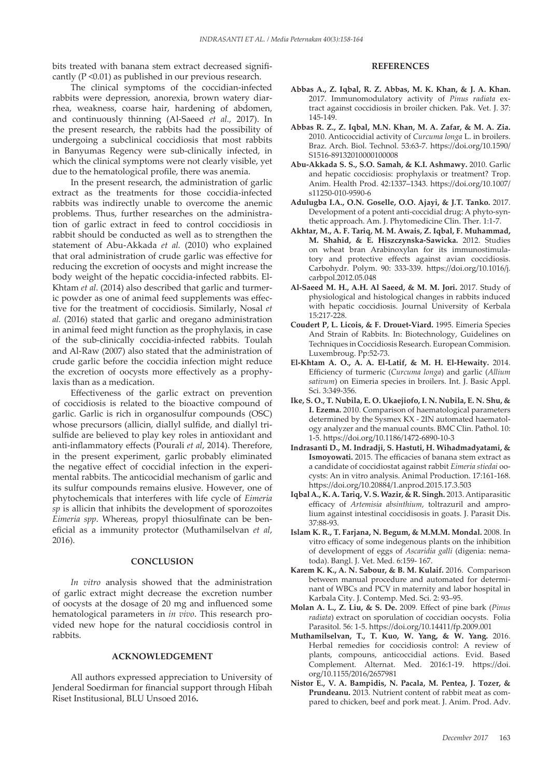bits treated with banana stem extract decreased significantly (P <0.01) as published in our previous research.

The clinical symptoms of the coccidian-infected rabbits were depression, anorexia, brown watery diarrhea, weakness, coarse hair, hardening of abdomen, and continuously thinning (Al-Saeed *et al.,* 2017). In the present research, the rabbits had the possibility of undergoing a subclinical coccidiosis that most rabbits in Banyumas Regency were sub-clinically infected, in which the clinical symptoms were not clearly visible, yet due to the hematological profile, there was anemia.

In the present research, the administration of garlic extract as the treatments for those coccidia-infected rabbits was indirectly unable to overcome the anemic problems. Thus, further researches on the administration of garlic extract in feed to control coccidiosis in rabbit should be conducted as well as to strengthen the statement of Abu-Akkada *et al.* (2010) who explained that oral administration of crude garlic was effective for reducing the excretion of oocysts and might increase the body weight of the hepatic coccidia-infected rabbits. El-Khtam *et al*. (2014) also described that garlic and turmeric powder as one of animal feed supplements was effective for the treatment of coccidiosis. Similarly, Nosal *et al.* (2016) stated that garlic and oregano administration in animal feed might function as the prophylaxis, in case of the sub-clinically coccidia-infected rabbits. Toulah and Al-Raw (2007) also stated that the administration of crude garlic before the coccidia infection might reduce the excretion of oocysts more effectively as a prophylaxis than as a medication.

Effectiveness of the garlic extract on prevention of coccidiosis is related to the bioactive compound of garlic. Garlic is rich in organosulfur compounds (OSC) whose precursors (allicin, diallyl sulfide, and diallyl trisulfide are believed to play key roles in antioxidant and anti-inflammatory effects (Pourali *et al*, 2014). Therefore, in the present experiment, garlic probably eliminated the negative effect of coccidial infection in the experimental rabbits. The anticocidial mechanism of garlic and its sulfur compounds remains elusive. However, one of phytochemicals that interferes with life cycle of *Eimeria sp* is allicin that inhibits the development of sporozoites *Eimeria spp*. Whereas, propyl thiosulfinate can be beneficial as a immunity protector (Muthamilselvan *et al*, 2016).

#### **CONCLUSION**

*In vitro* analysis showed that the administration of garlic extract might decrease the excretion number of oocysts at the dosage of 20 mg and influenced some hematological parameters in *in vivo*. This research provided new hope for the natural coccidiosis control in rabbits.

#### **ACKNOWLEDGEMENT**

All authors expressed appreciation to University of Jenderal Soedirman for financial support through Hibah Riset Institusional, BLU Unsoed 2016**.** 

# **REFERENCES**

- **Abbas A., Z. Iqbal, R. Z. Abbas, M. K. Khan, & J. A. Khan.**  2017. Immunomodulatory activity of *Pinus radiata* extract against coccidiosis in broiler chicken. Pak. Vet. J. 37: 145-149.
- **Abbas R. Z., Z. Iqbal, M.N. Khan, M. A. Zafar, & M. A. Zia.**  2010. Anticoccidial activity of *Curcuma longa* L. in broilers. Braz. Arch. Biol. Technol. 53:63-7. https://doi.org/10.1590/ S1516-89132010000100008
- **Abu-Akkada S. S., S.O. Samah, & K.I. Ashmawy.** 2010. Garlic and hepatic coccidiosis: prophylaxis or treatment? Trop. Anim. Health Prod. 42:1337–1343. https://doi.org/10.1007/ s11250-010-9590-6
- **Adulugba I.A., O.N. Goselle, O.O. Ajayi, & J.T. Tanko.** 2017. Development of a potent anti-coccidial drug: A phyto-synthetic approach. Am. J. Phytomedicine Clin. Ther. 1:1-7.
- **Akhtar, M., A. F. Tariq, M. M. Awais, Z. Iqbal, F. Muhammad, M. Shahid, & E. Hiszczynska-Sawicka.** 2012. Studies on wheat bran Arabinoxylan for its immunostimulatory and protective effects against avian coccidiosis. Carbohydr. Polym. 90: 333-339. https://doi.org/10.1016/j. carbpol.2012.05.048
- **Al-Saeed M. H., A.H. Al Saeed, & M. M. Jori.** 2017. Study of physiological and histological changes in rabbits induced with hepatic coccidiosis. Journal University of Kerbala 15:217-228.
- **Coudert P, L. Licois, & F. Drouet-Viard.** 1995. Eimeria Species And Strain of Rabbits. In: Biotechnology, Guidelines on Techniques in Coccidiosis Research. European Commision. Luxembroug. Pp:52-73.
- **El-Khtam A. O., A. A. El-Latif, & M. H. El-Hewaity.** 2014. Efficiency of turmeric (*Curcuma longa*) and garlic (*Allium sativum*) on Eimeria species in broilers. Int. J. Basic Appl. Sci. 3:349-356.
- **Ike, S. O., T. Nubila, E. O. Ukaejiofo, I. N. Nubila, E. N. Shu, & I. Ezema.** 2010. Comparison of haematological parameters determined by the Sysmex KX - 2IN automated haematology analyzer and the manual counts. BMC Clin. Pathol. 10: 1-5. https://doi.org/10.1186/1472-6890-10-3
- **Indrasanti D., M. Indradji, S. Hastuti, H. Wihadmadyatami, & Ismoyowati.** 2015. The efficacies of banana stem extract as a candidate of coccidiostat against rabbit *Eimeria stiedai* oocysts: An in vitro analysis. Animal Production. 17:161-168. https://doi.org/10.20884/1.anprod.2015.17.3.503
- **Iqbal A., K. A. Tariq, V. S. Wazir, & R. Singh.** 2013. Antiparasitic efficacy of *Artemisia absinthium*, toltrazuril and amprolium against intestinal coccidisosis in goats. J. Parasit Dis. 37:88-93.
- **Islam K. R., T. Farjana, N. Begum, & M.M.M. Mondal.** 2008. In vitro efficacy of some indegenous plants on the inhibition of development of eggs of *Ascaridia galli* (digenia: nematoda). Bangl. J. Vet. Med. 6:159- 167.
- **Karem K. K., A. N. Sabour, & B. M. Kulaif.** 2016. Comparison between manual procedure and automated for determinant of WBCs and PCV in maternity and labor hospital in Karbala City. J. Contemp. Med. Sci. 2: 93–95.
- **Molan A. L., Z. Liu, & S. De.** 2009. Effect of pine bark (*Pinus radiata*) extract on sporulation of coccidian oocysts. Folia Parasitol. 56: 1-5. https://doi.org/10.14411/fp.2009.001
- **Muthamilselvan, T., T. Kuo, W. Yang, & W. Yang.** 2016. Herbal remedies for coccidiosis control: A review of plants, compouns, anticoccidial actions. Evid. Based Complement. Alternat. Med. 2016:1-19. https://doi. org/10.1155/2016/2657981
- **Nistor E., V. A. Bampidis, N. Pacala, M. Pentea, J. Tozer, & Prundeanu.** 2013. Nutrient content of rabbit meat as compared to chicken, beef and pork meat. J. Anim. Prod. Adv.